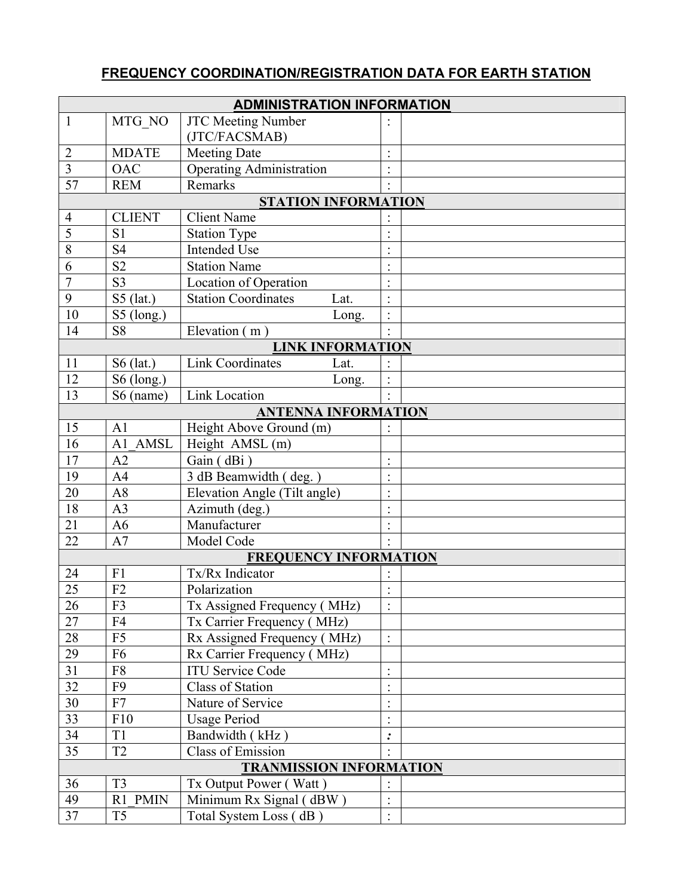## **FREQUENCY COORDINATION/REGISTRATION DATA FOR EARTH STATION**

| <b>ADMINISTRATION INFORMATION</b> |                |                                    |                      |  |  |  |
|-----------------------------------|----------------|------------------------------------|----------------------|--|--|--|
| $\mathbf{1}$                      | MTG_NO         | <b>JTC Meeting Number</b>          |                      |  |  |  |
|                                   |                | (JTC/FACSMAB)                      |                      |  |  |  |
| $\overline{2}$                    | <b>MDATE</b>   | <b>Meeting Date</b>                |                      |  |  |  |
| $\overline{3}$                    | <b>OAC</b>     | <b>Operating Administration</b>    | $\ddot{\phantom{0}}$ |  |  |  |
| 57                                | <b>REM</b>     | Remarks                            |                      |  |  |  |
| <b>STATION INFORMATION</b>        |                |                                    |                      |  |  |  |
| $\overline{4}$                    | <b>CLIENT</b>  | <b>Client Name</b>                 |                      |  |  |  |
| 5                                 | S <sub>1</sub> | <b>Station Type</b>                |                      |  |  |  |
| 8                                 | S <sub>4</sub> | <b>Intended Use</b>                |                      |  |  |  |
| 6                                 | S <sub>2</sub> | <b>Station Name</b>                |                      |  |  |  |
| $\overline{7}$                    | S <sub>3</sub> | Location of Operation              |                      |  |  |  |
| 9                                 | $S5$ (lat.)    | <b>Station Coordinates</b><br>Lat. | $\ddot{\phantom{1}}$ |  |  |  |
| 10                                | $S5$ (long.)   | Long.                              | $\bullet$            |  |  |  |
| 14                                | S <sub>8</sub> | Elevation (m)                      |                      |  |  |  |
| <b>LINK INFORMATION</b>           |                |                                    |                      |  |  |  |
| 11                                | $S6$ (lat.)    | <b>Link Coordinates</b><br>Lat.    |                      |  |  |  |
| 12                                | S6 (long.)     | Long.                              |                      |  |  |  |
| 13                                | S6 (name)      | <b>Link Location</b>               |                      |  |  |  |
| <b>ANTENNA INFORMATION</b>        |                |                                    |                      |  |  |  |
| 15                                | A <sub>1</sub> | Height Above Ground (m)            |                      |  |  |  |
| 16                                | A1 AMSL        | Height AMSL (m)                    |                      |  |  |  |
| 17                                | A2             | Gain (dBi)                         |                      |  |  |  |
| $\overline{19}$                   | A <sub>4</sub> | 3 dB Beamwidth (deg.)              |                      |  |  |  |
| $20\,$                            | A8             | Elevation Angle (Tilt angle)       |                      |  |  |  |
| 18                                | A <sub>3</sub> | Azimuth (deg.)                     |                      |  |  |  |
| 21                                | A6             | Manufacturer                       |                      |  |  |  |
| 22                                | A7             | Model Code                         |                      |  |  |  |
| <b>FREQUENCY INFORMATION</b>      |                |                                    |                      |  |  |  |
| 24                                | F1             | Tx/Rx Indicator                    |                      |  |  |  |
| 25                                | F2             | Polarization                       |                      |  |  |  |
| $\overline{26}$                   | F3             | Tx Assigned Frequency (MHz)        |                      |  |  |  |
| $\overline{27}$                   | F4             | Tx Carrier Frequency (MHz)         |                      |  |  |  |
| $28\,$                            | F <sub>5</sub> | Rx Assigned Frequency (MHz)        |                      |  |  |  |
| 29                                | F <sub>6</sub> | Rx Carrier Frequency (MHz)         |                      |  |  |  |
| 31                                | F8             | <b>ITU Service Code</b>            |                      |  |  |  |
| $\overline{32}$                   | F <sub>9</sub> | <b>Class of Station</b>            |                      |  |  |  |
| 30                                | F7             | Nature of Service                  |                      |  |  |  |
| 33                                | F10            | <b>Usage Period</b>                | $\ddot{\phantom{0}}$ |  |  |  |
| 34                                | T1             | Bandwidth (kHz)                    | $\ddot{\cdot}$       |  |  |  |
| 35                                | T <sub>2</sub> | <b>Class of Emission</b>           |                      |  |  |  |
| <b>TRANMISSION INFORMATION</b>    |                |                                    |                      |  |  |  |
| 36                                | T <sub>3</sub> | Tx Output Power (Watt)             |                      |  |  |  |
| 49                                | R1 PMIN        | Minimum Rx Signal (dBW)            | $\bullet$            |  |  |  |
| 37                                | T <sub>5</sub> | Total System Loss (dB)             |                      |  |  |  |